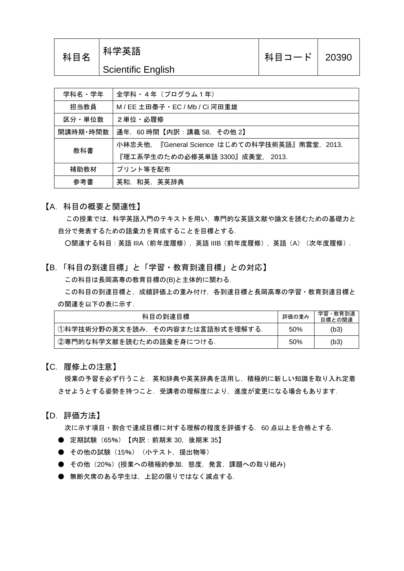| 科目名 | 科学英語               | 科目コード   20390 |  |
|-----|--------------------|---------------|--|
|     | Scientific English |               |  |

| 学科名・学年            | 全学科 · 4年 (プログラム1年)                             |  |  |
|-------------------|------------------------------------------------|--|--|
| 担当教員              | M / EE 土田泰子 · EC / Mb / Ci 河田重雄                |  |  |
| 2単位・必履修<br>区分・単位数 |                                                |  |  |
| 開講時期・時間数          | 通年, 60時間【内訳:講義 58, その他 2】                      |  |  |
| 教科書               | 小林忠夫他. 『General Science はじめての科学技術英語』南雲堂. 2013. |  |  |
|                   | 『理工系学生のための必修英単語 3300』成美堂, 2013.                |  |  |
| 補助教材              | プリント等を配布                                       |  |  |
| 参考書               | 英和、和英、英英辞典                                     |  |  |

【A.科目の概要と関連性】

この授業では,科学英語入門のテキストを用い,専門的な英語文献や論文を読むための基礎力と 自分で発表するための語彙力を育成することを目標とする.

○関連する科目:英語 IIIA(前年度履修),英語 IIIB(前年度履修),英語(A)(次年度履修).

【B.「科目の到達目標」と「学習・教育到達目標」との対応】 この科目は長岡高専の教育目標の(B)と主体的に関わる.

この科目の到達目標と,成績評価上の重み付け,各到達目標と長岡高専の学習・教育到達目標と の関連を以下の表に示す.

| 科目の到達目標                         |     | 学習・教育到達<br>目標との関連 |
|---------------------------------|-----|-------------------|
| ①科学技術分野の英文を読み,その内容または言語形式を理解する. | 50% | (b3)              |
| ②専門的な科学文献を読むための語彙を身につける.        | 50% | (b3)              |

## 【C.履修上の注意】

授業の予習を必ず行うこと.英和辞典や英英辞典を活用し,積極的に新しい知識を取り入れ定着 させようとする姿勢を持つこと.受講者の理解度により,進度が変更になる場合もあります.

【D.評価方法】

次に示す項目・割合で達成目標に対する理解の程度を評価する.60 点以上を合格とする.

- 定期試験(65%)【内訳:前期末 30,後期末 35】
- その他の試験 (15%) (小テスト, 提出物等)
- その他(20%)(授業への積極的参加,態度,発言,課題への取り組み)
- 無断欠席のある学生は、上記の限りではなく減点する.